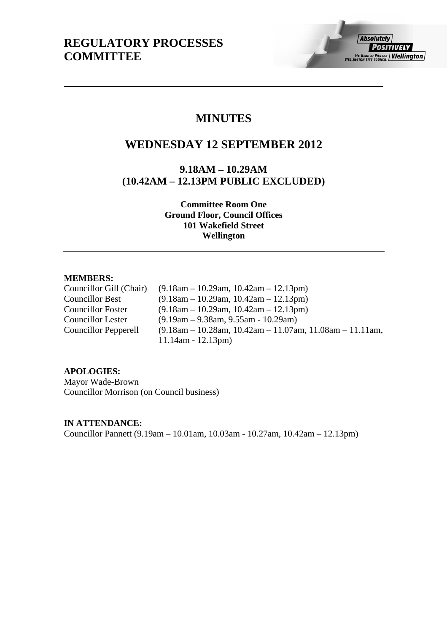# **MINUTES**

# **WEDNESDAY 12 SEPTEMBER 2012**

**9.18AM – 10.29AM (10.42AM – 12.13PM PUBLIC EXCLUDED)** 

> **Committee Room One Ground Floor, Council Offices 101 Wakefield Street Wellington**

## **MEMBERS:**

Councillor Gill (Chair) (9.18am – 10.29am, 10.42am – 12.13pm) Councillor Best (9.18am – 10.29am, 10.42am – 12.13pm) Councillor Foster (9.18am – 10.29am, 10.42am – 12.13pm) Councillor Lester (9.19am – 9.38am, 9.55am - 10.29am) Councillor Pepperell (9.18am – 10.28am, 10.42am – 11.07am, 11.08am – 11.11am, 11.14am - 12.13pm)

## **APOLOGIES:**

Mayor Wade-Brown Councillor Morrison (on Council business)

**IN ATTENDANCE:** 

Councillor Pannett (9.19am – 10.01am, 10.03am - 10.27am, 10.42am – 12.13pm)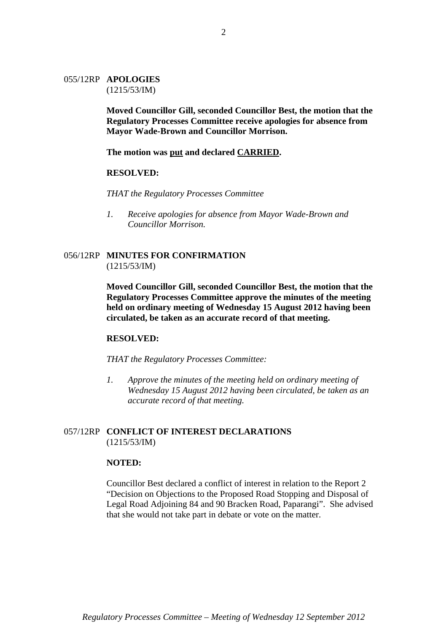#### 055/12RP **APOLOGIES** (1215/53/IM)

**Moved Councillor Gill, seconded Councillor Best, the motion that the Regulatory Processes Committee receive apologies for absence from Mayor Wade-Brown and Councillor Morrison.** 

**The motion was put and declared CARRIED.** 

#### **RESOLVED:**

*THAT the Regulatory Processes Committee* 

*1. Receive apologies for absence from Mayor Wade-Brown and Councillor Morrison.* 

## 056/12RP **MINUTES FOR CONFIRMATION** (1215/53/IM)

**Moved Councillor Gill, seconded Councillor Best, the motion that the Regulatory Processes Committee approve the minutes of the meeting held on ordinary meeting of Wednesday 15 August 2012 having been circulated, be taken as an accurate record of that meeting.** 

#### **RESOLVED:**

*THAT the Regulatory Processes Committee:* 

*1. Approve the minutes of the meeting held on ordinary meeting of Wednesday 15 August 2012 having been circulated, be taken as an accurate record of that meeting.* 

## 057/12RP **CONFLICT OF INTEREST DECLARATIONS** (1215/53/IM)

#### **NOTED:**

Councillor Best declared a conflict of interest in relation to the Report 2 "Decision on Objections to the Proposed Road Stopping and Disposal of Legal Road Adjoining 84 and 90 Bracken Road, Paparangi". She advised that she would not take part in debate or vote on the matter.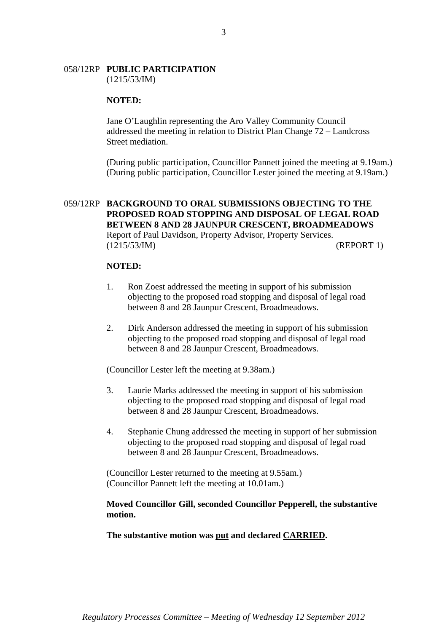# 058/12RP **PUBLIC PARTICIPATION**

(1215/53/IM)

#### **NOTED:**

Jane O'Laughlin representing the Aro Valley Community Council addressed the meeting in relation to District Plan Change 72 – Landcross Street mediation.

(During public participation, Councillor Pannett joined the meeting at 9.19am.) (During public participation, Councillor Lester joined the meeting at 9.19am.)

## 059/12RP **BACKGROUND TO ORAL SUBMISSIONS OBJECTING TO THE PROPOSED ROAD STOPPING AND DISPOSAL OF LEGAL ROAD BETWEEN 8 AND 28 JAUNPUR CRESCENT, BROADMEADOWS**  Report of Paul Davidson, Property Advisor, Property Services. (1215/53/IM) (REPORT 1)

#### **NOTED:**

- 1. Ron Zoest addressed the meeting in support of his submission objecting to the proposed road stopping and disposal of legal road between 8 and 28 Jaunpur Crescent, Broadmeadows.
- 2. Dirk Anderson addressed the meeting in support of his submission objecting to the proposed road stopping and disposal of legal road between 8 and 28 Jaunpur Crescent, Broadmeadows.

(Councillor Lester left the meeting at 9.38am.)

- 3. Laurie Marks addressed the meeting in support of his submission objecting to the proposed road stopping and disposal of legal road between 8 and 28 Jaunpur Crescent, Broadmeadows.
- 4. Stephanie Chung addressed the meeting in support of her submission objecting to the proposed road stopping and disposal of legal road between 8 and 28 Jaunpur Crescent, Broadmeadows.

(Councillor Lester returned to the meeting at 9.55am.) (Councillor Pannett left the meeting at 10.01am.)

## **Moved Councillor Gill, seconded Councillor Pepperell, the substantive motion.**

**The substantive motion was put and declared CARRIED.** 

3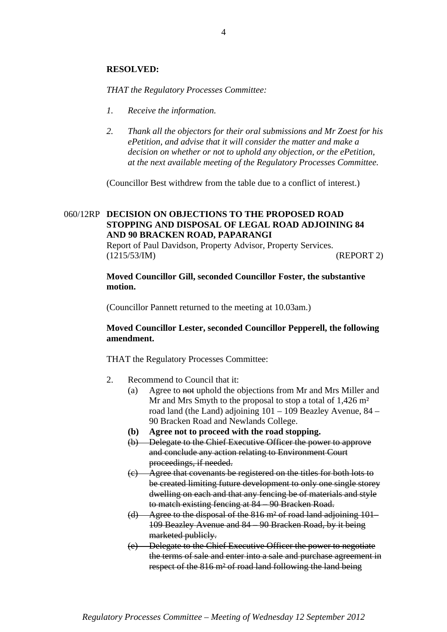## **RESOLVED:**

*THAT the Regulatory Processes Committee:*

- *1. Receive the information.*
- *2. Thank all the objectors for their oral submissions and Mr Zoest for his ePetition, and advise that it will consider the matter and make a decision on whether or not to uphold any objection, or the ePetition, at the next available meeting of the Regulatory Processes Committee.*

(Councillor Best withdrew from the table due to a conflict of interest.)

## 060/12RP **DECISION ON OBJECTIONS TO THE PROPOSED ROAD STOPPING AND DISPOSAL OF LEGAL ROAD ADJOINING 84 AND 90 BRACKEN ROAD, PAPARANGI**

Report of Paul Davidson, Property Advisor, Property Services. (1215/53/IM) (REPORT 2)

## **Moved Councillor Gill, seconded Councillor Foster, the substantive motion.**

(Councillor Pannett returned to the meeting at 10.03am.)

## **Moved Councillor Lester, seconded Councillor Pepperell, the following amendment.**

- 2. Recommend to Council that it:
	- (a) Agree to not uphold the objections from Mr and Mrs Miller and Mr and Mrs Smyth to the proposal to stop a total of 1,426 m<sup>2</sup> road land (the Land) adjoining 101 – 109 Beazley Avenue, 84 – 90 Bracken Road and Newlands College.
	- **(b) Agree not to proceed with the road stopping.**
	- (b) Delegate to the Chief Executive Officer the power to approve and conclude any action relating to Environment Court proceedings, if needed.
	- (c) Agree that covenants be registered on the titles for both lots to be created limiting future development to only one single storey dwelling on each and that any fencing be of materials and style to match existing fencing at 84 – 90 Bracken Road.
	- (d) Agree to the disposal of the 816 m² of road land adjoining 101– 109 Beazley Avenue and 84 – 90 Bracken Road, by it being marketed publicly.
	- (e) Delegate to the Chief Executive Officer the power to negotiate the terms of sale and enter into a sale and purchase agreement in respect of the 816 m² of road land following the land being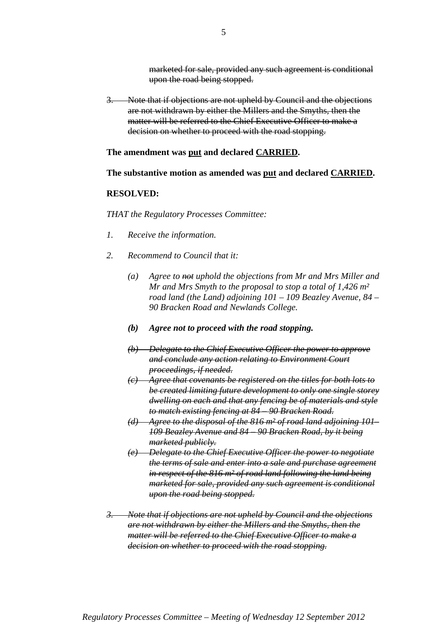marketed for sale, provided any such agreement is conditional upon the road being stopped.

3. Note that if objections are not upheld by Council and the objections are not withdrawn by either the Millers and the Smyths, then the matter will be referred to the Chief Executive Officer to make a decision on whether to proceed with the road stopping.

**The amendment was put and declared CARRIED.** 

**The substantive motion as amended was put and declared CARRIED.** 

## **RESOLVED:**

- *1. Receive the information.*
- *2. Recommend to Council that it:* 
	- *(a) Agree to not uphold the objections from Mr and Mrs Miller and Mr and Mrs Smyth to the proposal to stop a total of 1,426 m² road land (the Land) adjoining 101 – 109 Beazley Avenue, 84 – 90 Bracken Road and Newlands College.*
	- *(b) Agree not to proceed with the road stopping.*
	- *(b) Delegate to the Chief Executive Officer the power to approve and conclude any action relating to Environment Court proceedings, if needed.*
	- *(c) Agree that covenants be registered on the titles for both lots to be created limiting future development to only one single storey dwelling on each and that any fencing be of materials and style to match existing fencing at 84 – 90 Bracken Road.*
	- *(d) Agree to the disposal of the 816 m² of road land adjoining 101– 109 Beazley Avenue and 84 – 90 Bracken Road, by it being marketed publicly.*
	- *(e) Delegate to the Chief Executive Officer the power to negotiate the terms of sale and enter into a sale and purchase agreement in respect of the 816 m² of road land following the land being marketed for sale, provided any such agreement is conditional upon the road being stopped.*
- *3. Note that if objections are not upheld by Council and the objections are not withdrawn by either the Millers and the Smyths, then the matter will be referred to the Chief Executive Officer to make a decision on whether to proceed with the road stopping.*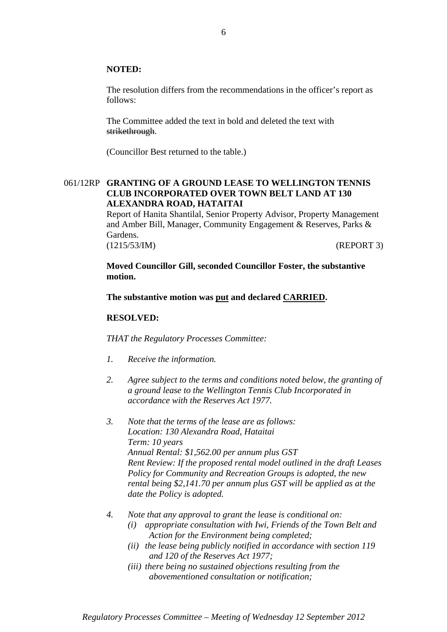#### **NOTED:**

The resolution differs from the recommendations in the officer's report as follows:

The Committee added the text in bold and deleted the text with strikethrough.

(Councillor Best returned to the table.)

## 061/12RP **GRANTING OF A GROUND LEASE TO WELLINGTON TENNIS CLUB INCORPORATED OVER TOWN BELT LAND AT 130 ALEXANDRA ROAD, HATAITAI**

Report of Hanita Shantilal, Senior Property Advisor, Property Management and Amber Bill, Manager, Community Engagement & Reserves, Parks & Gardens. (1215/53/IM) (REPORT 3)

**Moved Councillor Gill, seconded Councillor Foster, the substantive motion.** 

**The substantive motion was put and declared CARRIED.** 

#### **RESOLVED:**

- *1. Receive the information.*
- *2. Agree subject to the terms and conditions noted below, the granting of a ground lease to the Wellington Tennis Club Incorporated in accordance with the Reserves Act 1977.*
- *3. Note that the terms of the lease are as follows: Location: 130 Alexandra Road, Hataitai Term: 10 years Annual Rental: \$1,562.00 per annum plus GST Rent Review: If the proposed rental model outlined in the draft Leases Policy for Community and Recreation Groups is adopted, the new rental being \$2,141.70 per annum plus GST will be applied as at the date the Policy is adopted.*
- *4. Note that any approval to grant the lease is conditional on:* 
	- *(i) appropriate consultation with Iwi, Friends of the Town Belt and Action for the Environment being completed;*
	- *(ii) the lease being publicly notified in accordance with section 119 and 120 of the Reserves Act 1977;*
	- *(iii) there being no sustained objections resulting from the abovementioned consultation or notification;*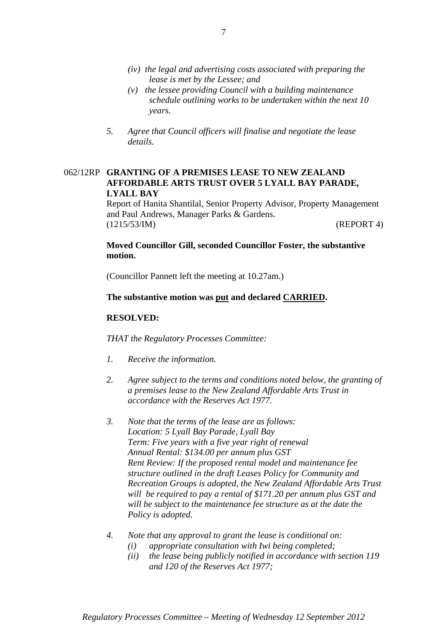- *(iv) the legal and advertising costs associated with preparing the lease is met by the Lessee; and*
- *(v) the lessee providing Council with a building maintenance schedule outlining works to be undertaken within the next 10 years.*
- *5. Agree that Council officers will finalise and negotiate the lease details.*

## 062/12RP **GRANTING OF A PREMISES LEASE TO NEW ZEALAND AFFORDABLE ARTS TRUST OVER 5 LYALL BAY PARADE, LYALL BAY**

Report of Hanita Shantilal, Senior Property Advisor, Property Management and Paul Andrews, Manager Parks & Gardens. (1215/53/IM) (REPORT 4)

## **Moved Councillor Gill, seconded Councillor Foster, the substantive motion.**

(Councillor Pannett left the meeting at 10.27am.)

## **The substantive motion was put and declared CARRIED.**

## **RESOLVED:**

- *1. Receive the information.*
- *2. Agree subject to the terms and conditions noted below, the granting of a premises lease to the New Zealand Affordable Arts Trust in accordance with the Reserves Act 1977.*
- *3. Note that the terms of the lease are as follows: Location: 5 Lyall Bay Parade, Lyall Bay Term: Five years with a five year right of renewal Annual Rental: \$134.00 per annum plus GST Rent Review: If the proposed rental model and maintenance fee structure outlined in the draft Leases Policy for Community and Recreation Groups is adopted, the New Zealand Affordable Arts Trust will be required to pay a rental of \$171.20 per annum plus GST and will be subject to the maintenance fee structure as at the date the Policy is adopted.*
- *4. Note that any approval to grant the lease is conditional on:* 
	- *(i) appropriate consultation with Iwi being completed;*
	- *(ii) the lease being publicly notified in accordance with section 119 and 120 of the Reserves Act 1977;*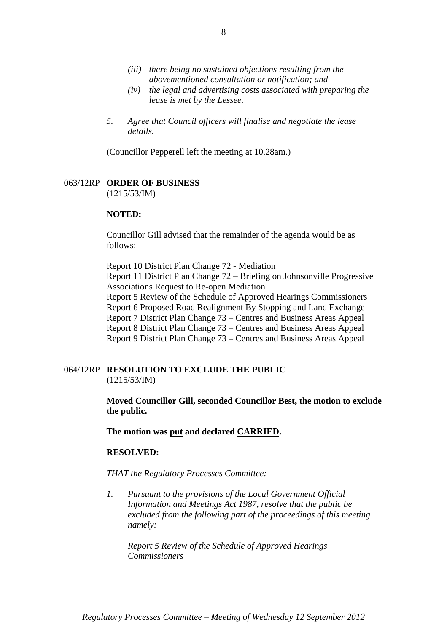- *(iii) there being no sustained objections resulting from the abovementioned consultation or notification; and*
- *(iv) the legal and advertising costs associated with preparing the lease is met by the Lessee.*
- *5. Agree that Council officers will finalise and negotiate the lease details.*

(Councillor Pepperell left the meeting at 10.28am.)

#### 063/12RP **ORDER OF BUSINESS** (1215/53/IM)

## **NOTED:**

Councillor Gill advised that the remainder of the agenda would be as follows:

Report 10 District Plan Change 72 - Mediation Report 11 District Plan Change 72 – Briefing on Johnsonville Progressive Associations Request to Re-open Mediation Report 5 Review of the Schedule of Approved Hearings Commissioners Report 6 Proposed Road Realignment By Stopping and Land Exchange Report 7 District Plan Change 73 – Centres and Business Areas Appeal Report 8 District Plan Change 73 – Centres and Business Areas Appeal Report 9 District Plan Change 73 – Centres and Business Areas Appeal

064/12RP **RESOLUTION TO EXCLUDE THE PUBLIC** (1215/53/IM)

> **Moved Councillor Gill, seconded Councillor Best, the motion to exclude the public.**

**The motion was put and declared CARRIED.**

#### **RESOLVED:**

*THAT the Regulatory Processes Committee:* 

*1. Pursuant to the provisions of the Local Government Official Information and Meetings Act 1987, resolve that the public be excluded from the following part of the proceedings of this meeting namely:* 

*Report 5 Review of the Schedule of Approved Hearings Commissioners*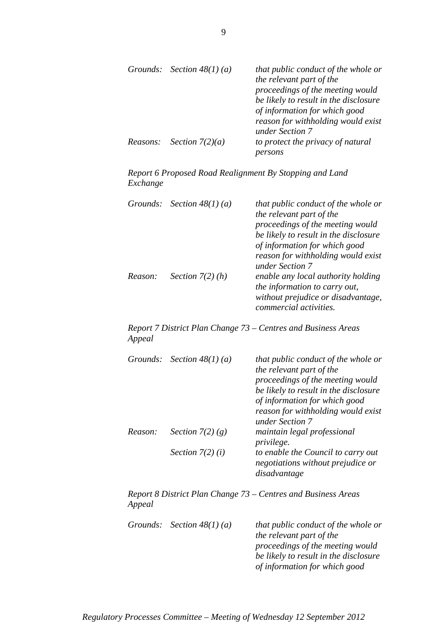|  | Grounds: Section $48(1)(a)$       | that public conduct of the whole or<br>the relevant part of the<br>proceedings of the meeting would<br>be likely to result in the disclosure |
|--|-----------------------------------|----------------------------------------------------------------------------------------------------------------------------------------------|
|  |                                   | of information for which good<br>reason for withholding would exist<br>under Section 7                                                       |
|  | <i>Reasons: Section</i> $7(2)(a)$ | to protect the privacy of natural<br>persons                                                                                                 |

*Report 6 Proposed Road Realignment By Stopping and Land Exchange* 

|         | Grounds: Section $48(1)(a)$ | that public conduct of the whole or<br>the relevant part of the<br>proceedings of the meeting would<br>be likely to result in the disclosure<br>of information for which good<br>reason for withholding would exist<br>under Section 7 |
|---------|-----------------------------|----------------------------------------------------------------------------------------------------------------------------------------------------------------------------------------------------------------------------------------|
| Reason: | Section $7(2)$ (h)          | enable any local authority holding<br>the information to carry out,<br>without prejudice or disadvantage,<br><i>commercial activities.</i>                                                                                             |

*Report 7 District Plan Change 73 – Centres and Business Areas Appeal* 

|         | Grounds: Section $48(1)(a)$ | that public conduct of the whole or<br>the relevant part of the<br>proceedings of the meeting would<br>be likely to result in the disclosure<br>of information for which good<br>reason for withholding would exist<br>under Section 7 |
|---------|-----------------------------|----------------------------------------------------------------------------------------------------------------------------------------------------------------------------------------------------------------------------------------|
| Reason: | Section $7(2)(g)$           | maintain legal professional<br><i>privilege.</i>                                                                                                                                                                                       |
|         | Section $7(2)(i)$           | to enable the Council to carry out<br>negotiations without prejudice or<br>disadvantage                                                                                                                                                |

*Report 8 District Plan Change 73 – Centres and Business Areas Appeal* 

|  | Grounds: Section $48(1)(a)$ | that public conduct of the whole or   |
|--|-----------------------------|---------------------------------------|
|  |                             | the relevant part of the              |
|  |                             | proceedings of the meeting would      |
|  |                             | be likely to result in the disclosure |
|  |                             | of information for which good         |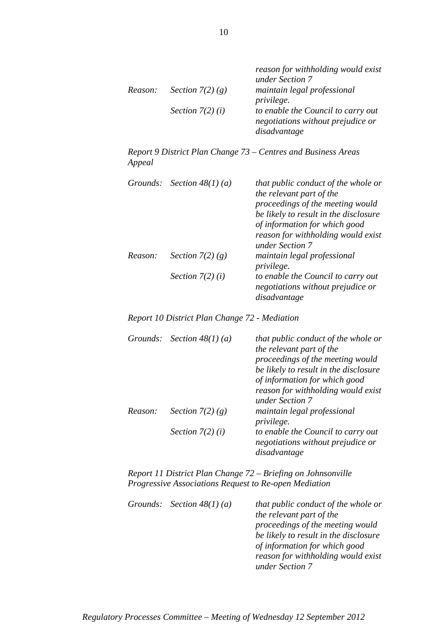|         |                    | reason for withholding would exist<br>under Section 7 |
|---------|--------------------|-------------------------------------------------------|
|         |                    |                                                       |
| Reason: | Section $7(2)$ (g) | maintain legal professional                           |
|         |                    | <i>privilege.</i>                                     |
|         | Section $7(2)(i)$  | to enable the Council to carry out                    |
|         |                    | negotiations without prejudice or                     |
|         |                    | disadvantage                                          |

*Report 9 District Plan Change 73 – Centres and Business Areas Appeal* 

| Grounds: | Section $48(1)(a)$ | that public conduct of the whole or<br>the relevant part of the<br>proceedings of the meeting would<br>be likely to result in the disclosure<br>of information for which good<br>reason for withholding would exist<br>under Section 7 |
|----------|--------------------|----------------------------------------------------------------------------------------------------------------------------------------------------------------------------------------------------------------------------------------|
| Reason:  | Section $7(2)(g)$  | maintain legal professional<br>privilege.                                                                                                                                                                                              |
|          | Section $7(2)(i)$  | to enable the Council to carry out<br>negotiations without prejudice or<br>disadvantage                                                                                                                                                |

*Report 10 District Plan Change 72 - Mediation* 

|         | Grounds: Section $48(1)(a)$ | that public conduct of the whole or<br>the relevant part of the |
|---------|-----------------------------|-----------------------------------------------------------------|
|         |                             | proceedings of the meeting would                                |
|         |                             | be likely to result in the disclosure                           |
|         |                             | of information for which good                                   |
|         |                             | reason for withholding would exist                              |
|         |                             | under Section 7                                                 |
| Reason: | Section $7(2)(g)$           | maintain legal professional<br><i>privilege.</i>                |
|         | Section $7(2)(i)$           | to enable the Council to carry out                              |
|         |                             | negotiations without prejudice or                               |
|         |                             | disadvantage                                                    |

*Report 11 District Plan Change 72 – Briefing on Johnsonville Progressive Associations Request to Re-open Mediation* 

|  | Grounds: Section $48(1)(a)$ | that public conduct of the whole or   |
|--|-----------------------------|---------------------------------------|
|  |                             | the relevant part of the              |
|  |                             | proceedings of the meeting would      |
|  |                             | be likely to result in the disclosure |
|  |                             | of information for which good         |
|  |                             | reason for withholding would exist    |
|  |                             | under Section 7                       |

10